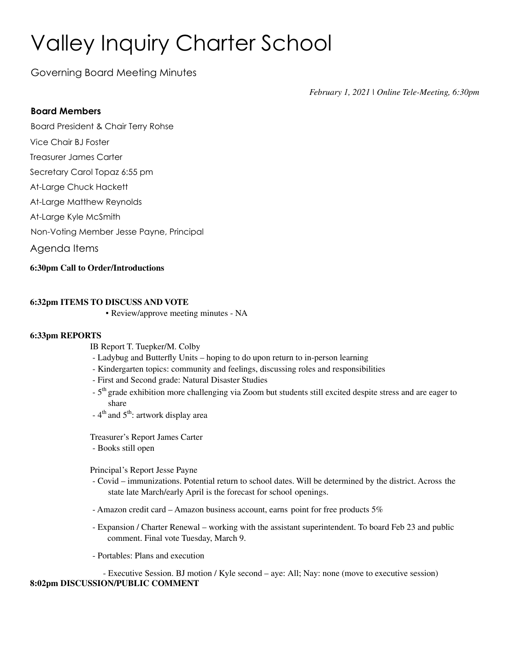# Valley Inquiry Charter School

Governing Board Meeting Minutes

*February 1, 2021 | Online Tele-Meeting, 6:30pm*

### **Board Members**

Board President & Chair Terry Rohse

- Vice Chair BJ Foster
- Treasurer James Carter
- Secretary Carol Topaz 6:55 pm
- At-Large Chuck Hackett
- At-Large Matthew Reynolds
- At-Large Kyle McSmith
- Non-Voting Member Jesse Payne, Principal
- Agenda Items

### **6:30pm Call to Order/Introductions**

### **6:32pm ITEMS TO DISCUSS AND VOTE**

▪ Review/approve meeting minutes - NA

#### **6:33pm REPORTS**

IB Report T. Tuepker/M. Colby

- Ladybug and Butterfly Units hoping to do upon return to in-person learning
- Kindergarten topics: community and feelings, discussing roles and responsibilities
- First and Second grade: Natural Disaster Studies
- 5<sup>th</sup> grade exhibition more challenging via Zoom but students still excited despite stress and are eager to share
- 4<sup>th</sup> and 5<sup>th</sup>: artwork display area

Treasurer's Report James Carter

- Books still open

Principal's Report Jesse Payne

- Covid immunizations. Potential return to school dates. Will be determined by the district. Across the state late March/early April is the forecast for school openings.
- Amazon credit card Amazon business account, earns point for free products 5%
- Expansion / Charter Renewal working with the assistant superintendent. To board Feb 23 and public comment. Final vote Tuesday, March 9.
- Portables: Plans and execution

- Executive Session. BJ motion / Kyle second – aye: All; Nay: none (move to executive session) **8:02pm DISCUSSION/PUBLIC COMMENT**